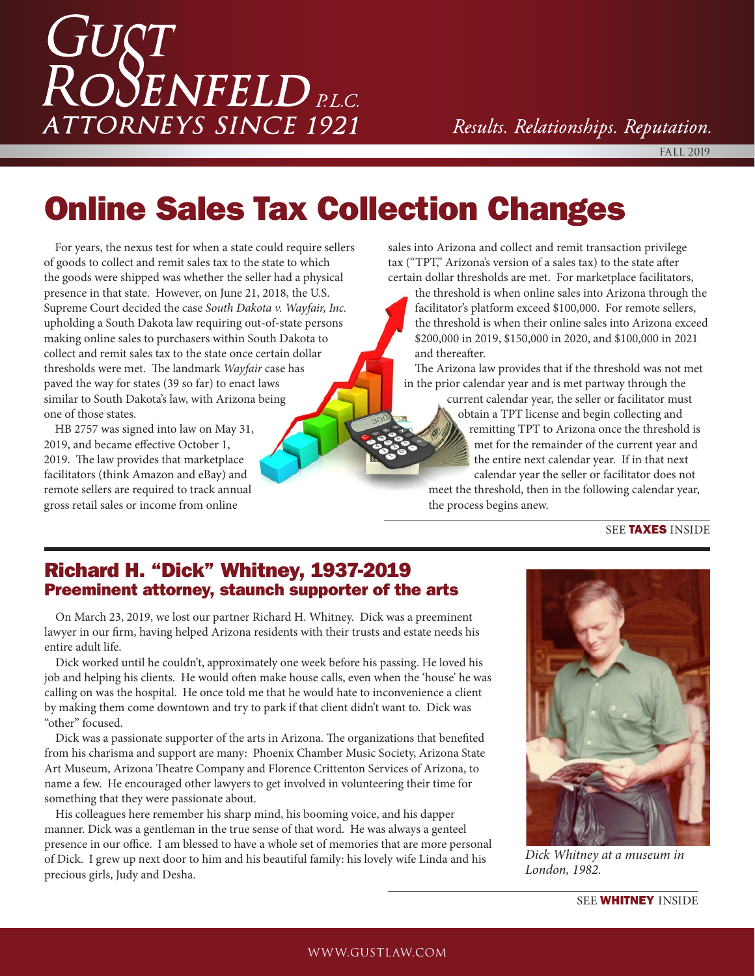# *GUST<br>ROSENFELDRLC.* **ATTORNEYS SINCE 1921**

Results. Relationships. Reputation.

FALL 2019

### Online Sales Tax Collection Changes

For years, the nexus test for when a state could require sellers of goods to collect and remit sales tax to the state to which the goods were shipped was whether the seller had a physical presence in that state. However, on June 21, 2018, the U.S. Supreme Court decided the case *South Dakota v. Wayfair, Inc.* upholding a South Dakota law requiring out-of-state persons making online sales to purchasers within South Dakota to collect and remit sales tax to the state once certain dollar thresholds were met. The landmark *Wayfair* case has paved the way for states (39 so far) to enact laws similar to South Dakota's law, with Arizona being one of those states.

HB 2757 was signed into law on May 31, 2019, and became effective October 1, 2019. The law provides that marketplace facilitators (think Amazon and eBay) and remote sellers are required to track annual gross retail sales or income from online

sales into Arizona and collect and remit transaction privilege tax ("TPT," Arizona's version of a sales tax) to the state after certain dollar thresholds are met. For marketplace facilitators,

the threshold is when online sales into Arizona through the facilitator's platform exceed \$100,000. For remote sellers, the threshold is when their online sales into Arizona exceed \$200,000 in 2019, \$150,000 in 2020, and \$100,000 in 2021 and thereafter.

The Arizona law provides that if the threshold was not met in the prior calendar year and is met partway through the

current calendar year, the seller or facilitator must obtain a TPT license and begin collecting and remitting TPT to Arizona once the threshold is met for the remainder of the current year and the entire next calendar year. If in that next calendar year the seller or facilitator does not meet the threshold, then in the following calendar year, the process begins anew.

#### SEE **TAXES** INSIDE

### Richard H. "Dick" Whitney, 1937-2019 Preeminent attorney, staunch supporter of the arts

On March 23, 2019, we lost our partner Richard H. Whitney. Dick was a preeminent lawyer in our firm, having helped Arizona residents with their trusts and estate needs his entire adult life.

Dick worked until he couldn't, approximately one week before his passing. He loved his job and helping his clients. He would often make house calls, even when the 'house' he was calling on was the hospital. He once told me that he would hate to inconvenience a client by making them come downtown and try to park if that client didn't want to. Dick was "other" focused.

Dick was a passionate supporter of the arts in Arizona. The organizations that benefited from his charisma and support are many: Phoenix Chamber Music Society, Arizona State Art Museum, Arizona Theatre Company and Florence Crittenton Services of Arizona, to name a few. He encouraged other lawyers to get involved in volunteering their time for something that they were passionate about.

His colleagues here remember his sharp mind, his booming voice, and his dapper manner. Dick was a gentleman in the true sense of that word. He was always a genteel presence in our office. I am blessed to have a whole set of memories that are more personal of Dick. I grew up next door to him and his beautiful family: his lovely wife Linda and his precious girls, Judy and Desha.



*Dick Whitney at a museum in London, 1982.*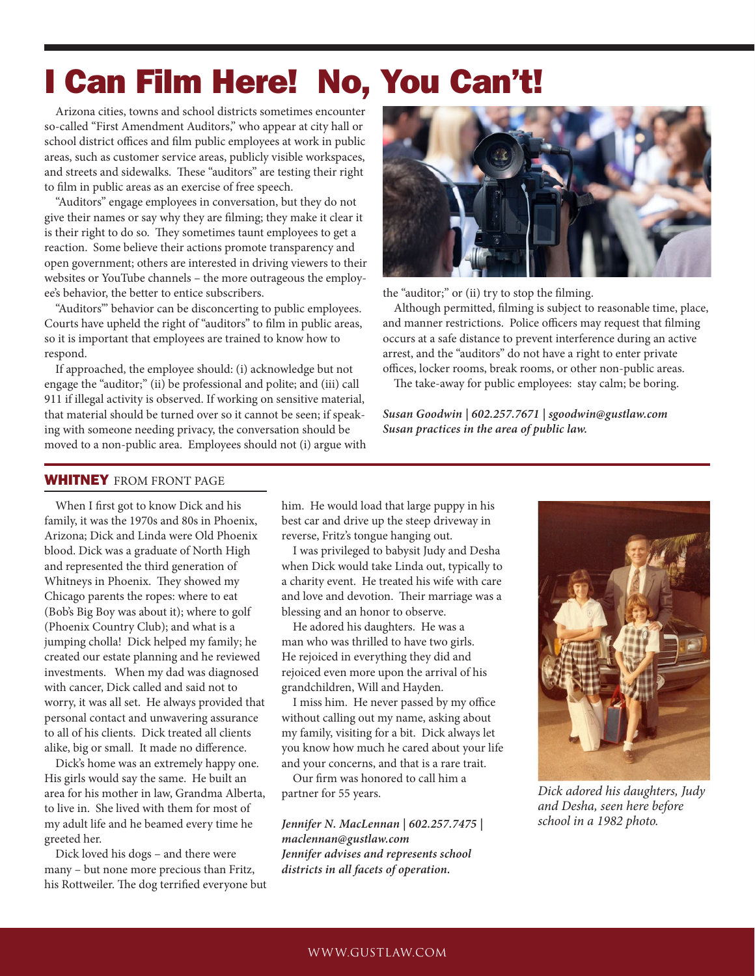### I Can Film Here! No, You Can't!

Arizona cities, towns and school districts sometimes encounter so-called "First Amendment Auditors," who appear at city hall or school district offices and film public employees at work in public areas, such as customer service areas, publicly visible workspaces, and streets and sidewalks. These "auditors" are testing their right to film in public areas as an exercise of free speech.

"Auditors" engage employees in conversation, but they do not give their names or say why they are filming; they make it clear it is their right to do so. They sometimes taunt employees to get a reaction. Some believe their actions promote transparency and open government; others are interested in driving viewers to their websites or YouTube channels – the more outrageous the employee's behavior, the better to entice subscribers.

"Auditors'" behavior can be disconcerting to public employees. Courts have upheld the right of "auditors" to film in public areas, so it is important that employees are trained to know how to respond.

If approached, the employee should: (i) acknowledge but not engage the "auditor;" (ii) be professional and polite; and (iii) call 911 if illegal activity is observed. If working on sensitive material, that material should be turned over so it cannot be seen; if speaking with someone needing privacy, the conversation should be moved to a non-public area. Employees should not (i) argue with



the "auditor;" or (ii) try to stop the filming.

Although permitted, filming is subject to reasonable time, place, and manner restrictions. Police officers may request that filming occurs at a safe distance to prevent interference during an active arrest, and the "auditors" do not have a right to enter private offices, locker rooms, break rooms, or other non-public areas.

The take-away for public employees: stay calm; be boring.

*Susan Goodwin | 602.257.7671 | sgoodwin@gustlaw.com Susan practices in the area of public law.*

#### WHITNEY FROM FRONT PAGE

When I first got to know Dick and his family, it was the 1970s and 80s in Phoenix, Arizona; Dick and Linda were Old Phoenix blood. Dick was a graduate of North High and represented the third generation of Whitneys in Phoenix. They showed my Chicago parents the ropes: where to eat (Bob's Big Boy was about it); where to golf (Phoenix Country Club); and what is a jumping cholla! Dick helped my family; he created our estate planning and he reviewed investments. When my dad was diagnosed with cancer, Dick called and said not to worry, it was all set. He always provided that personal contact and unwavering assurance to all of his clients. Dick treated all clients alike, big or small. It made no difference.

Dick's home was an extremely happy one. His girls would say the same. He built an area for his mother in law, Grandma Alberta, to live in. She lived with them for most of my adult life and he beamed every time he greeted her.

Dick loved his dogs – and there were many – but none more precious than Fritz, his Rottweiler. The dog terrified everyone but him. He would load that large puppy in his best car and drive up the steep driveway in reverse, Fritz's tongue hanging out.

I was privileged to babysit Judy and Desha when Dick would take Linda out, typically to a charity event. He treated his wife with care and love and devotion. Their marriage was a blessing and an honor to observe.

He adored his daughters. He was a man who was thrilled to have two girls. He rejoiced in everything they did and rejoiced even more upon the arrival of his grandchildren, Will and Hayden.

I miss him. He never passed by my office without calling out my name, asking about my family, visiting for a bit. Dick always let you know how much he cared about your life and your concerns, and that is a rare trait.

Our firm was honored to call him a partner for 55 years.

*Jennifer N. MacLennan | 602.257.7475 | maclennan@gustlaw.com Jennifer advises and represents school districts in all facets of operation.*



*Dick adored his daughters, Judy and Desha, seen here before school in a 1982 photo.*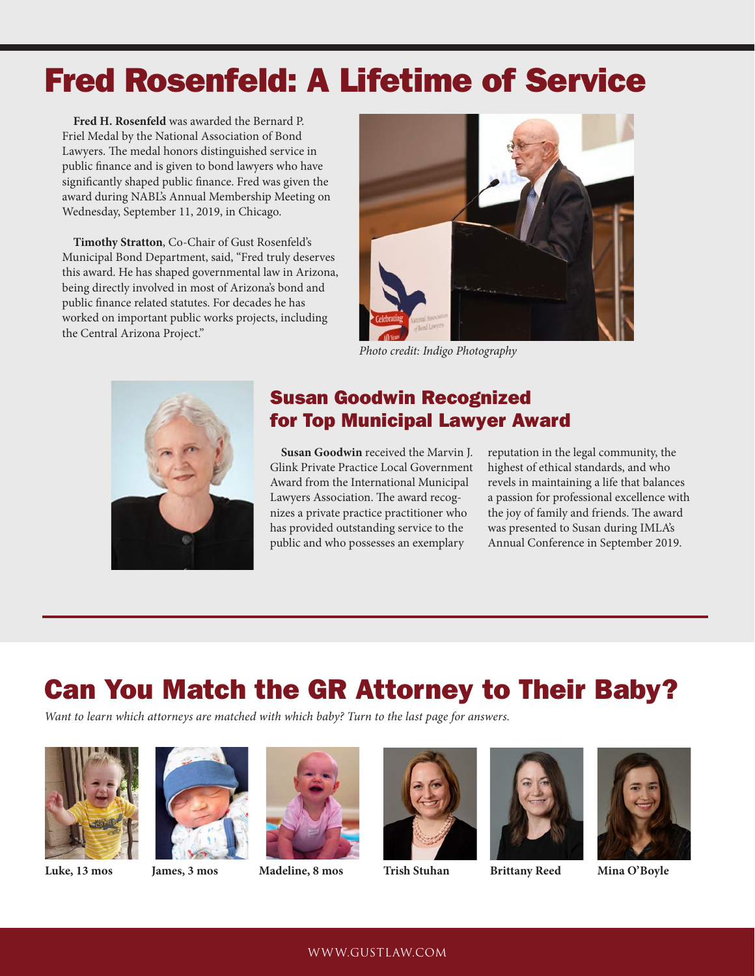### Fred Rosenfeld: A Lifetime of Service

**Fred H. Rosenfeld** was awarded the Bernard P. Friel Medal by the National Association of Bond Lawyers. The medal honors distinguished service in public finance and is given to bond lawyers who have significantly shaped public finance. Fred was given the award during NABL's Annual Membership Meeting on Wednesday, September 11, 2019, in Chicago.

**Timothy Stratton**, Co-Chair of Gust Rosenfeld's Municipal Bond Department, said, "Fred truly deserves this award. He has shaped governmental law in Arizona, being directly involved in most of Arizona's bond and public finance related statutes. For decades he has worked on important public works projects, including the Central Arizona Project."



*Photo credit: Indigo Photography*



### Susan Goodwin Recognized for Top Municipal Lawyer Award

**Susan Goodwin** received the Marvin J. Glink Private Practice Local Government Award from the International Municipal Lawyers Association. The award recognizes a private practice practitioner who has provided outstanding service to the public and who possesses an exemplary

reputation in the legal community, the highest of ethical standards, and who revels in maintaining a life that balances a passion for professional excellence with the joy of family and friends. The award was presented to Susan during IMLA's Annual Conference in September 2019.

### Can You Match the GR Attorney to Their Baby?

*Want to learn which attorneys are matched with which baby? Turn to the last page for answers.* 













**Luke, 13 mos James, 3 mos Madeline, 8 mos Trish Stuhan Brittany Reed Mina O'Boyle**



#### WWW.GUSTLAW.COM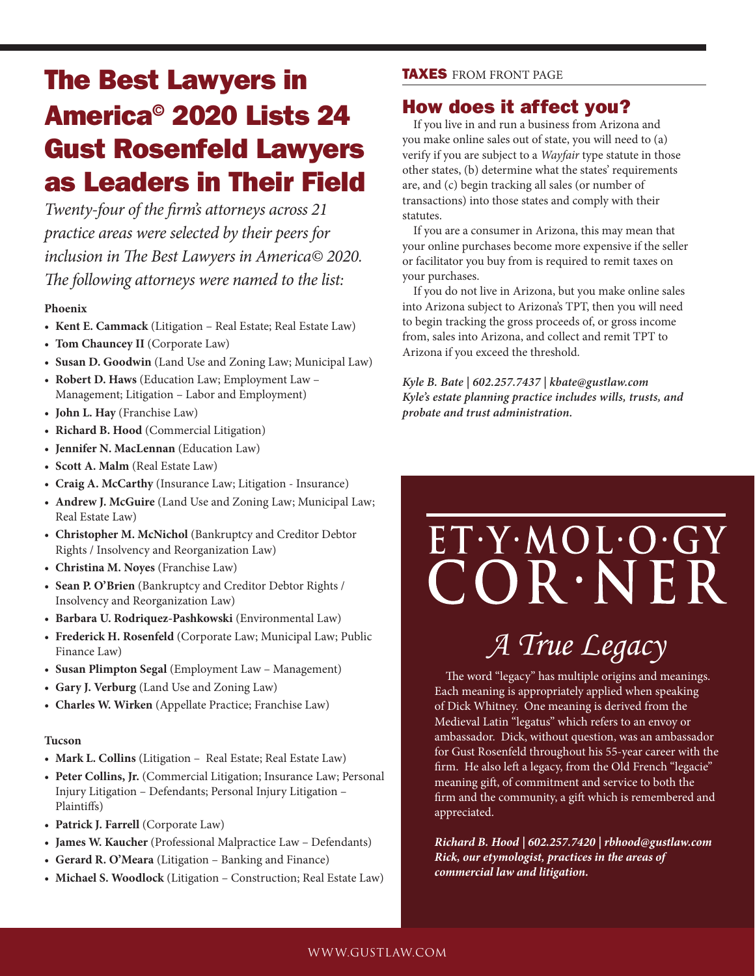### The Best Lawyers in America© 2020 Lists 24 Gust Rosenfeld Lawyers as Leaders in Their Field

*Twenty-four of the firm's attorneys across 21 practice areas were selected by their peers for inclusion in The Best Lawyers in America© 2020. The following attorneys were named to the list:*

#### **Phoenix**

- **Kent E. Cammack** (Litigation Real Estate; Real Estate Law)
- **Tom Chauncey II** (Corporate Law)
- **Susan D. Goodwin** (Land Use and Zoning Law; Municipal Law)
- **Robert D. Haws** (Education Law; Employment Law Management; Litigation – Labor and Employment)
- **John L. Hay** (Franchise Law)
- **Richard B. Hood** (Commercial Litigation)
- **Jennifer N. MacLennan** (Education Law)
- **Scott A. Malm** (Real Estate Law)
- **Craig A. McCarthy** (Insurance Law; Litigation Insurance)
- **Andrew J. McGuire** (Land Use and Zoning Law; Municipal Law; Real Estate Law)
- **Christopher M. McNichol** (Bankruptcy and Creditor Debtor Rights / Insolvency and Reorganization Law)
- **Christina M. Noyes** (Franchise Law)
- **Sean P. O'Brien** (Bankruptcy and Creditor Debtor Rights / Insolvency and Reorganization Law)
- **Barbara U. Rodriquez-Pashkowski** (Environmental Law)
- **Frederick H. Rosenfeld** (Corporate Law; Municipal Law; Public Finance Law)
- **Susan Plimpton Segal** (Employment Law Management)
- **Gary J. Verburg** (Land Use and Zoning Law)
- **Charles W. Wirken** (Appellate Practice; Franchise Law)

#### **Tucson**

- **Mark L. Collins** (Litigation Real Estate; Real Estate Law)
- **Peter Collins, Jr.** (Commercial Litigation; Insurance Law; Personal Injury Litigation – Defendants; Personal Injury Litigation – Plaintiffs)
- **Patrick J. Farrell** (Corporate Law)
- **James W. Kaucher** (Professional Malpractice Law Defendants)
- **Gerard R. O'Meara** (Litigation Banking and Finance)
- **Michael S. Woodlock** (Litigation Construction; Real Estate Law)

#### TAXES FROM FRONT PAGE

#### How does it affect you?

If you live in and run a business from Arizona and you make online sales out of state, you will need to (a) verify if you are subject to a *Wayfair* type statute in those other states, (b) determine what the states' requirements are, and (c) begin tracking all sales (or number of transactions) into those states and comply with their statutes.

If you are a consumer in Arizona, this may mean that your online purchases become more expensive if the seller or facilitator you buy from is required to remit taxes on your purchases.

If you do not live in Arizona, but you make online sales into Arizona subject to Arizona's TPT, then you will need to begin tracking the gross proceeds of, or gross income from, sales into Arizona, and collect and remit TPT to Arizona if you exceed the threshold.

*Kyle B. Bate | 602.257.7437 | kbate@gustlaw.com Kyle's estate planning practice includes wills, trusts, and probate and trust administration.*

## $COR \cdot NER$ *A True Legacy*

ET.Y.MOL.O.GY

The word "legacy" has multiple origins and meanings. Each meaning is appropriately applied when speaking of Dick Whitney. One meaning is derived from the Medieval Latin "legatus" which refers to an envoy or ambassador. Dick, without question, was an ambassador for Gust Rosenfeld throughout his 55-year career with the firm. He also left a legacy, from the Old French "legacie" meaning gift, of commitment and service to both the firm and the community, a gift which is remembered and appreciated.

*Richard B. Hood | 602.257.7420 | rbhood@gustlaw.com Rick, our etymologist, practices in the areas of commercial law and litigation.*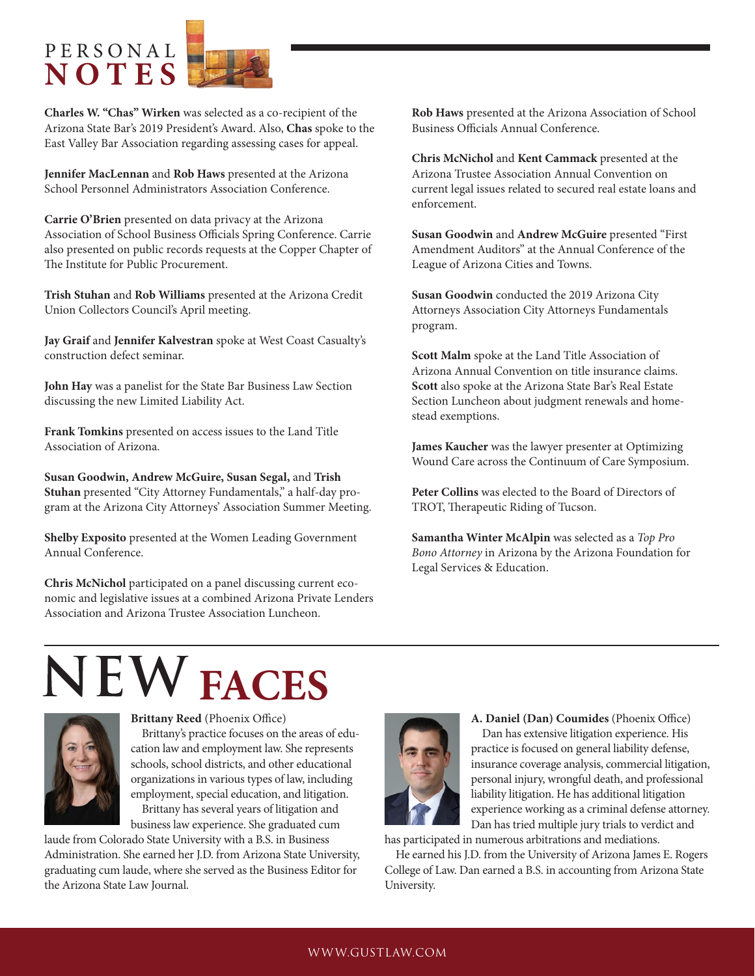### P E R S O N A L **NOTES**

**Charles W. "Chas" Wirken** was selected as a co-recipient of the Arizona State Bar's 2019 President's Award. Also, **Chas** spoke to the East Valley Bar Association regarding assessing cases for appeal.

**Jennifer MacLennan** and **Rob Haws** presented at the Arizona School Personnel Administrators Association Conference.

**Carrie O'Brien** presented on data privacy at the Arizona Association of School Business Officials Spring Conference. Carrie also presented on public records requests at the Copper Chapter of The Institute for Public Procurement.

**Trish Stuhan** and **Rob Williams** presented at the Arizona Credit Union Collectors Council's April meeting.

**Jay Graif** and **Jennifer Kalvestran** spoke at West Coast Casualty's construction defect seminar.

**John Hay** was a panelist for the State Bar Business Law Section discussing the new Limited Liability Act.

**Frank Tomkins** presented on access issues to the Land Title Association of Arizona.

**Susan Goodwin, Andrew McGuire, Susan Segal,** and **Trish Stuhan** presented "City Attorney Fundamentals," a half-day program at the Arizona City Attorneys' Association Summer Meeting.

**Shelby Exposito** presented at the Women Leading Government Annual Conference.

**Chris McNichol** participated on a panel discussing current economic and legislative issues at a combined Arizona Private Lenders Association and Arizona Trustee Association Luncheon.

**Rob Haws** presented at the Arizona Association of School Business Officials Annual Conference.

**Chris McNichol** and **Kent Cammack** presented at the Arizona Trustee Association Annual Convention on current legal issues related to secured real estate loans and enforcement.

**Susan Goodwin** and **Andrew McGuire** presented "First Amendment Auditors" at the Annual Conference of the League of Arizona Cities and Towns.

**Susan Goodwin** conducted the 2019 Arizona City Attorneys Association City Attorneys Fundamentals program.

**Scott Malm** spoke at the Land Title Association of Arizona Annual Convention on title insurance claims. **Scott** also spoke at the Arizona State Bar's Real Estate Section Luncheon about judgment renewals and homestead exemptions.

**James Kaucher** was the lawyer presenter at Optimizing Wound Care across the Continuum of Care Symposium.

**Peter Collins** was elected to the Board of Directors of TROT, Therapeutic Riding of Tucson.

**Samantha Winter McAlpin** was selected as a *Top Pro Bono Attorney* in Arizona by the Arizona Foundation for Legal Services & Education.

## **NEW FACES**



**Brittany Reed** (Phoenix Office)

Brittany's practice focuses on the areas of education law and employment law. She represents schools, school districts, and other educational organizations in various types of law, including employment, special education, and litigation. Brittany has several years of litigation and

business law experience. She graduated cum

laude from Colorado State University with a B.S. in Business Administration. She earned her J.D. from Arizona State University, graduating cum laude, where she served as the Business Editor for the Arizona State Law Journal.



**A. Daniel (Dan) Coumides** (Phoenix Office) Dan has extensive litigation experience. His practice is focused on general liability defense, insurance coverage analysis, commercial litigation, personal injury, wrongful death, and professional liability litigation. He has additional litigation experience working as a criminal defense attorney. Dan has tried multiple jury trials to verdict and

has participated in numerous arbitrations and mediations.

He earned his J.D. from the University of Arizona James E. Rogers College of Law. Dan earned a B.S. in accounting from Arizona State University.